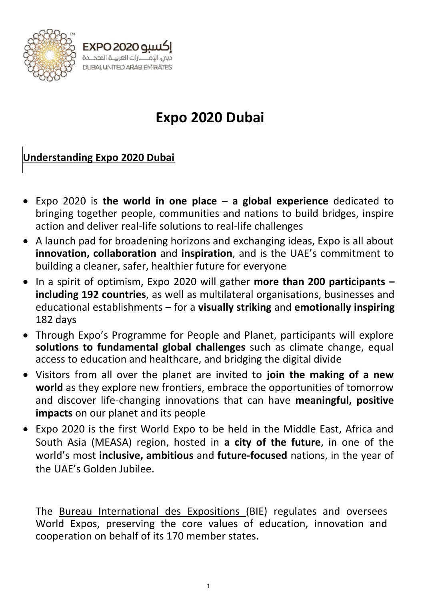

# **Expo 2020 Dubai**

## **Understanding Expo 2020 Dubai**

سنة 2020 EXPO ــ<br>دبي، الإمــــــارات العربيــة المتحــدة DUBAI, UNITED ARAB EMIRATES

- Expo 2020 is **the world in one place a global experience** dedicated to bringing together people, communities and nations to build bridges, inspire action and deliver real-life solutions to real-life challenges
- A launch pad for broadening horizons and exchanging ideas, Expo is all about **innovation, collaboration** and **inspiration**, and is the UAE's commitment to building a cleaner, safer, healthier future for everyone
- In a spirit of optimism, Expo 2020 will gather **more than 200 participants – including 192 countries**, as well as multilateral organisations, businesses and educational establishments – for a **visually striking** and **emotionally inspiring** 182 days
- Through Expo's Programme for People and Planet, participants will explore **solutions to fundamental global challenges** such as climate change, equal access to education and healthcare, and bridging the digital divide
- Visitors from all over the planet are invited to **join the making of a new world** as they explore new frontiers, embrace the opportunities of tomorrow and discover life-changing innovations that can have **meaningful, positive impacts** on our planet and its people
- Expo 2020 is the first World Expo to be held in the Middle East, Africa and South Asia (MEASA) region, hosted in **a city of the future**, in one of the world's most **inclusive, ambitious** and **future-focused** nations, in the year of the UAE's Golden Jubilee.

The [Bureau International des](https://www.bie-paris.org/site/en) Expositions (BIE) regulates and oversees World Expos, preserving the core values of education, innovation and cooperation on behalf of its 170 member states.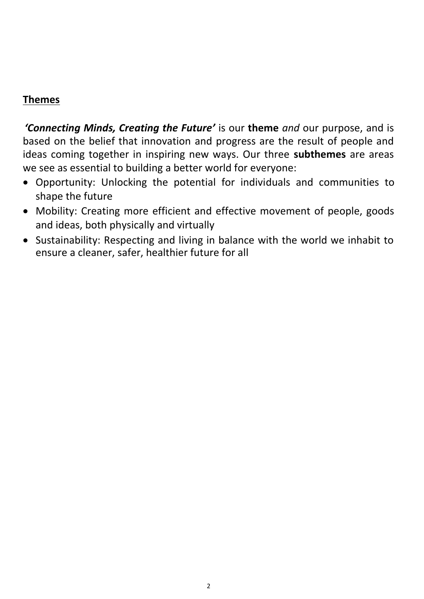#### **Themes**

*'Connecting Minds, Creating the Future'* is our **theme** *and* our purpose, and is based on the belief that innovation and progress are the result of people and ideas coming together in inspiring new ways. Our three **subthemes** are areas we see as essential to building a better world for everyone:

- Opportunity: Unlocking the potential for individuals and communities to shape the future
- Mobility: Creating more efficient and effective movement of people, goods and ideas, both physically and virtually
- Sustainability: Respecting and living in balance with the world we inhabit to ensure a cleaner, safer, healthier future for all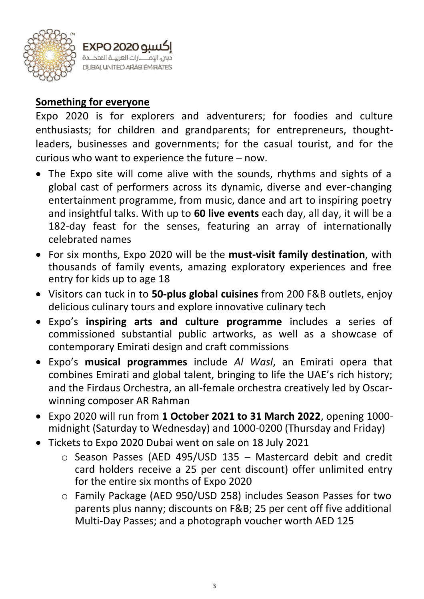

### **Something for everyone**

Expo 2020 is for explorers and adventurers; for foodies and culture enthusiasts; for children and grandparents; for entrepreneurs, thoughtleaders, businesses and governments; for the casual tourist, and for the curious who want to experience the future – now.

- The Expo site will come alive with the sounds, rhythms and sights of a global cast of performers across its dynamic, diverse and ever-changing entertainment programme, from music, dance and art to inspiring poetry and insightful talks. With up to **60 live events** each day, all day, it will be a 182-day feast for the senses, featuring an array of internationally celebrated names
- For six months, Expo 2020 will be the **must-visit family destination**, with thousands of family events, amazing exploratory experiences and free entry for kids up to age 18
- Visitors can tuck in to **50-plus global cuisines** from 200 F&B outlets, enjoy delicious culinary tours and explore innovative culinary tech
- Expo's **inspiring arts and culture programme** includes a series of commissioned substantial public artworks, as well as a showcase of contemporary Emirati design and craft commissions
- Expo's **musical programmes** include *Al Wasl*, an Emirati opera that combines Emirati and global talent, bringing to life the UAE's rich history; and the Firdaus Orchestra, an all-female orchestra creatively led by Oscarwinning composer AR Rahman
- Expo 2020 will run from **1 October 2021 to 31 March 2022**, opening 1000 midnight (Saturday to Wednesday) and 1000-0200 (Thursday and Friday)
- Tickets to Expo 2020 Dubai went on sale on 18 July 2021
	- o Season Passes (AED 495/USD 135 Mastercard debit and credit card holders receive a 25 per cent discount) offer unlimited entry for the entire six months of Expo 2020
	- o Family Package (AED 950/USD 258) includes Season Passes for two parents plus nanny; discounts on F&B; 25 per cent off five additional Multi-Day Passes; and a photograph voucher worth AED 125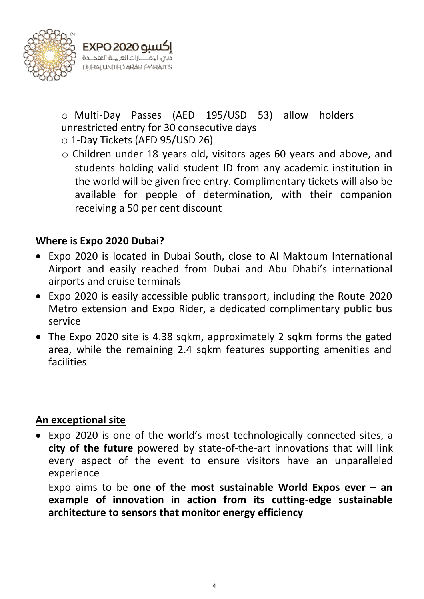

o Multi-Day Passes (AED 195/USD 53) allow holders unrestricted entry for 30 consecutive days o 1-Day Tickets (AED 95/USD 26)

- 
- o Children under 18 years old, visitors ages 60 years and above, and students holding valid student ID from any academic institution in the world will be given free entry. Complimentary tickets will also be available for people of determination, with their companion receiving a 50 per cent discount

## **Where is Expo 2020 Dubai?**

- Expo 2020 is located in Dubai South, close to Al Maktoum International Airport and easily reached from Dubai and Abu Dhabi's international airports and cruise terminals
- Expo 2020 is easily accessible public transport, including the Route 2020 Metro extension and Expo Rider, a dedicated complimentary public bus service
- The Expo 2020 site is 4.38 sqkm, approximately 2 sqkm forms the gated area, while the remaining 2.4 sqkm features supporting amenities and facilities

#### **An exceptional site**

• Expo 2020 is one of the world's most technologically connected sites, a **city of the future** powered by state-of-the-art innovations that will link every aspect of the event to ensure visitors have an unparalleled experience

Expo aims to be **one of the [most sustainable](https://www.expo2020dubai.com/en/discover/sustainability) World Expos ever – an example of innovation in action from its cutting-edge sustainable architecture to sensors that monitor energy efficiency**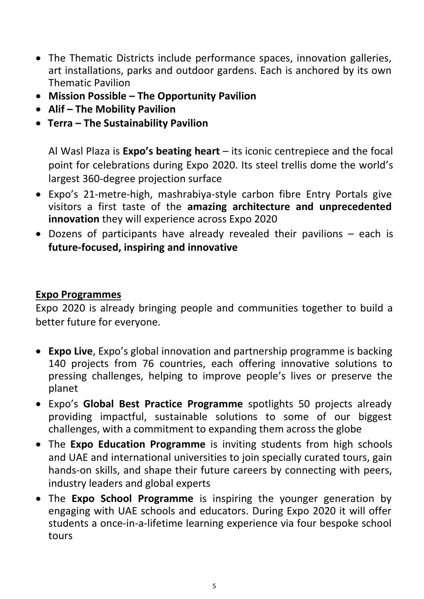- The Thematic Districts include performance spaces, innovation galleries, art installations, parks and outdoor gardens. Each is anchored by its own Thematic Pavilion
- **Mission Possible – The Opportunity Pavilion**
- **Alif – The Mobility Pavilion**
- **Terra – The Sustainability Pavilion**

[Al Wasl Plaza i](https://media.expo2020dubai.com/en/content/about/al-wasl-plaza)s **Expo's beating heart** – its iconic centrepiece and the focal point for celebrations during Expo 2020. Its steel trellis dome the world's largest 360-degree projection surface

- Expo's 21-metre-high, mashrabiya-style carbon fibre Entry Portals give visitors a first taste of the **amazing architecture and unprecedented innovation** they will experience across Expo 2020
- Dozens of participants have already revealed their pavilions each is **future-focused, inspiring and innovative**

#### **Expo Programmes**

Expo 2020 is already bringing people and communities together to build a better future for everyone.

- **Expo Live**, Expo's global innovation and partnership programme is backing 140 projects from 76 countries, each offering innovative solutions to pressing challenges, helping to improve people's lives or preserve the planet
- Expo's **Global Best Practice Programme** spotlights 50 projects already providing impactful, sustainable solutions to some of our biggest challenges, with a commitment to expanding them across the globe
- The **Expo Education Programme** is inviting students from high schools and UAE and international universities to join specially curated tours, gain hands-on skills, and shape their future careers by connecting with peers, industry leaders and global experts
- The **Expo School Programme** is inspiring the younger generation by engaging with UAE schools and educators. During Expo 2020 it will offer students a once-in-a-lifetime learning experience via four bespoke school tours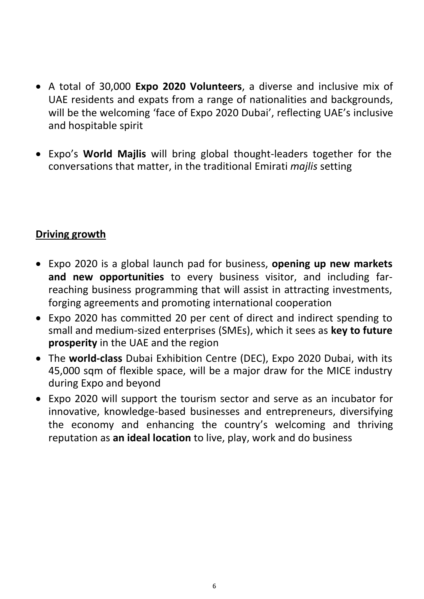- A total of 30,000 **Expo 2020 Volunteers**, a diverse and inclusive mix of UAE residents and expats from a range of nationalities and backgrounds, will be the welcoming 'face of Expo 2020 Dubai', reflecting UAE's inclusive and hospitable spirit
- Expo's **World Majlis** will bring global thought-leaders together for the conversations that matter, in the traditional Emirati *majlis* setting

## **Driving growth**

- Expo 2020 is a global launch pad for business, **opening up new markets and new opportunities** to every business visitor, and including farreaching business programming that will assist in attracting investments, forging agreements and promoting international cooperation
- Expo 2020 has committed 20 per cent of direct and indirect spending to small and medium-sized enterprises (SMEs), which it sees as **key to future prosperity** in the UAE and the region
- The **world-class** Dubai Exhibition Centre (DEC), Expo 2020 Dubai, with its 45,000 sqm of flexible space, will be a major draw for the MICE industry during Expo and beyond
- Expo 2020 will support the tourism sector and serve as an incubator for innovative, knowledge-based businesses and entrepreneurs, diversifying the economy and enhancing the country's welcoming and thriving reputation as **an ideal location** to live, play, work and do business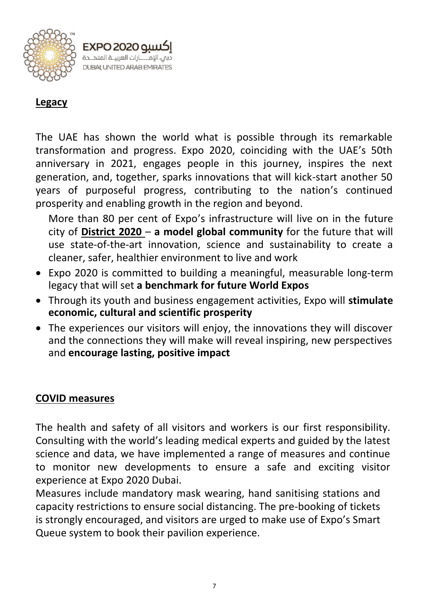

## **Legacy**

The UAE has shown the world what is possible through its remarkable transformation and progress. Expo 2020, coinciding with the UAE's 50th anniversary in 2021, engages people in this journey, inspires the next generation, and, together, sparks innovations that will kick-start another 50 years of purposeful progress, contributing to the nation's continued prosperity and enabling growth in the region and beyond.

More than 80 per cent of Expo's infrastructure will live on in the future city of **[District 2020](https://www.district2020.ae/)** – **a model global community** for the future that will use state-of-the-art innovation, science and sustainability to create a cleaner, safer, healthier environment to live and work

- Expo 2020 is committed to building a meaningful, measurable long-term legacy that will set **a benchmark for future World Expos**
- Through its youth and business engagement activities, Expo will **stimulate economic, cultural and scientific prosperity**
- The experiences our visitors will enjoy, the innovations they will discover and the connections they will make will reveal inspiring, new perspectives and **encourage lasting, positive impact**

#### **COVID measures**

The health and safety of all visitors and workers is our first responsibility. Consulting with the world's leading medical experts and guided by the latest science and data, we have implemented a range of measures and continue to monitor new developments to ensure a safe and exciting visitor experience at Expo 2020 Dubai.

Measures include mandatory mask wearing, hand sanitising stations and capacity restrictions to ensure social distancing. The pre-booking of tickets is strongly encouraged, and visitors are urged to make use of Expo's Smart Queue system to book their pavilion experience.